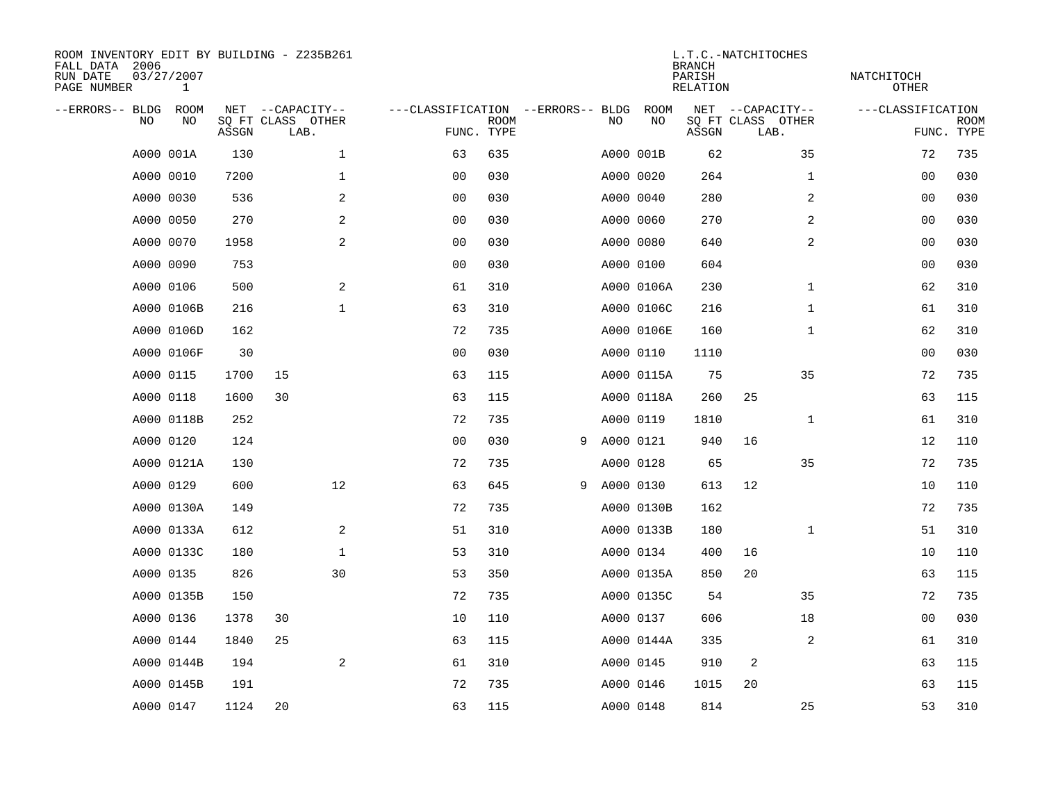| FALL DATA 2006<br>RUN DATE<br>PAGE NUMBER |           | 03/27/2007<br>$\mathbf{1}$ |       | ROOM INVENTORY EDIT BY BUILDING - Z235B261    |                                   |                           |   |           |            | <b>BRANCH</b><br>PARISH<br><b>RELATION</b> | L.T.C.-NATCHITOCHES                           | NATCHITOCH<br><b>OTHER</b> |                           |
|-------------------------------------------|-----------|----------------------------|-------|-----------------------------------------------|-----------------------------------|---------------------------|---|-----------|------------|--------------------------------------------|-----------------------------------------------|----------------------------|---------------------------|
| --ERRORS-- BLDG                           | <b>NO</b> | ROOM<br>NO                 | ASSGN | NET --CAPACITY--<br>SQ FT CLASS OTHER<br>LAB. | ---CLASSIFICATION --ERRORS-- BLDG | <b>ROOM</b><br>FUNC. TYPE |   | NO        | ROOM<br>NO | ASSGN                                      | NET --CAPACITY--<br>SQ FT CLASS OTHER<br>LAB. | ---CLASSIFICATION          | <b>ROOM</b><br>FUNC. TYPE |
|                                           |           | A000 001A                  | 130   | $\mathbf{1}$                                  | 63                                | 635                       |   |           | A000 001B  | 62                                         | 35                                            | 72                         | 735                       |
|                                           |           | A000 0010                  | 7200  | $\mathbf 1$                                   | 0 <sub>0</sub>                    | 030                       |   |           | A000 0020  | 264                                        | $\mathbf{1}$                                  | 00                         | 030                       |
|                                           |           | A000 0030                  | 536   | 2                                             | 00                                | 030                       |   |           | A000 0040  | 280                                        | $\overline{a}$                                | 00                         | 030                       |
|                                           |           | A000 0050                  | 270   | 2                                             | 0 <sub>0</sub>                    | 030                       |   |           | A000 0060  | 270                                        | $\overline{a}$                                | 0 <sub>0</sub>             | 030                       |
|                                           |           | A000 0070                  | 1958  | $\mathbf{2}$                                  | 0 <sub>0</sub>                    | 030                       |   |           | A000 0080  | 640                                        | 2                                             | 0 <sub>0</sub>             | 030                       |
|                                           |           | A000 0090                  | 753   |                                               | 0 <sub>0</sub>                    | 030                       |   |           | A000 0100  | 604                                        |                                               | 00                         | 030                       |
|                                           |           | A000 0106                  | 500   | 2                                             | 61                                | 310                       |   |           | A000 0106A | 230                                        | $\mathbf{1}$                                  | 62                         | 310                       |
|                                           |           | A000 0106B                 | 216   | $\mathbf 1$                                   | 63                                | 310                       |   |           | A000 0106C | 216                                        | $\mathbf{1}$                                  | 61                         | 310                       |
|                                           |           | A000 0106D                 | 162   |                                               | 72                                | 735                       |   |           | A000 0106E | 160                                        | $\mathbf{1}$                                  | 62                         | 310                       |
|                                           |           | A000 0106F                 | 30    |                                               | 0 <sub>0</sub>                    | 030                       |   |           | A000 0110  | 1110                                       |                                               | 00                         | 030                       |
|                                           |           | A000 0115                  | 1700  | 15                                            | 63                                | 115                       |   |           | A000 0115A | 75                                         | 35                                            | 72                         | 735                       |
|                                           |           | A000 0118                  | 1600  | 30                                            | 63                                | 115                       |   |           | A000 0118A | 260                                        | 25                                            | 63                         | 115                       |
|                                           |           | A000 0118B                 | 252   |                                               | 72                                | 735                       |   |           | A000 0119  | 1810                                       | $\mathbf{1}$                                  | 61                         | 310                       |
|                                           |           | A000 0120                  | 124   |                                               | 0 <sub>0</sub>                    | 030                       | 9 | A000 0121 |            | 940                                        | 16                                            | 12                         | 110                       |
|                                           |           | A000 0121A                 | 130   |                                               | 72                                | 735                       |   |           | A000 0128  | 65                                         | 35                                            | 72                         | 735                       |
|                                           |           | A000 0129                  | 600   | 12                                            | 63                                | 645                       | 9 | A000 0130 |            | 613                                        | 12                                            | 10                         | 110                       |
|                                           |           | A000 0130A                 | 149   |                                               | 72                                | 735                       |   |           | A000 0130B | 162                                        |                                               | 72                         | 735                       |
|                                           |           | A000 0133A                 | 612   | 2                                             | 51                                | 310                       |   |           | A000 0133B | 180                                        | $\mathbf{1}$                                  | 51                         | 310                       |
|                                           |           | A000 0133C                 | 180   | $\mathbf 1$                                   | 53                                | 310                       |   |           | A000 0134  | 400                                        | 16                                            | 10                         | 110                       |
|                                           |           | A000 0135                  | 826   | 30                                            | 53                                | 350                       |   |           | A000 0135A | 850                                        | 20                                            | 63                         | 115                       |
|                                           |           | A000 0135B                 | 150   |                                               | 72                                | 735                       |   |           | A000 0135C | 54                                         | 35                                            | 72                         | 735                       |
|                                           |           | A000 0136                  | 1378  | 30                                            | 10                                | 110                       |   |           | A000 0137  | 606                                        | 18                                            | 00                         | 030                       |
|                                           |           | A000 0144                  | 1840  | 25                                            | 63                                | 115                       |   |           | A000 0144A | 335                                        | $\overline{2}$                                | 61                         | 310                       |
|                                           |           | A000 0144B                 | 194   | 2                                             | 61                                | 310                       |   |           | A000 0145  | 910                                        | 2                                             | 63                         | 115                       |
|                                           |           | A000 0145B                 | 191   |                                               | 72                                | 735                       |   |           | A000 0146  | 1015                                       | 20                                            | 63                         | 115                       |
|                                           |           | A000 0147                  | 1124  | 20                                            | 63                                | 115                       |   |           | A000 0148  | 814                                        | 25                                            | 53                         | 310                       |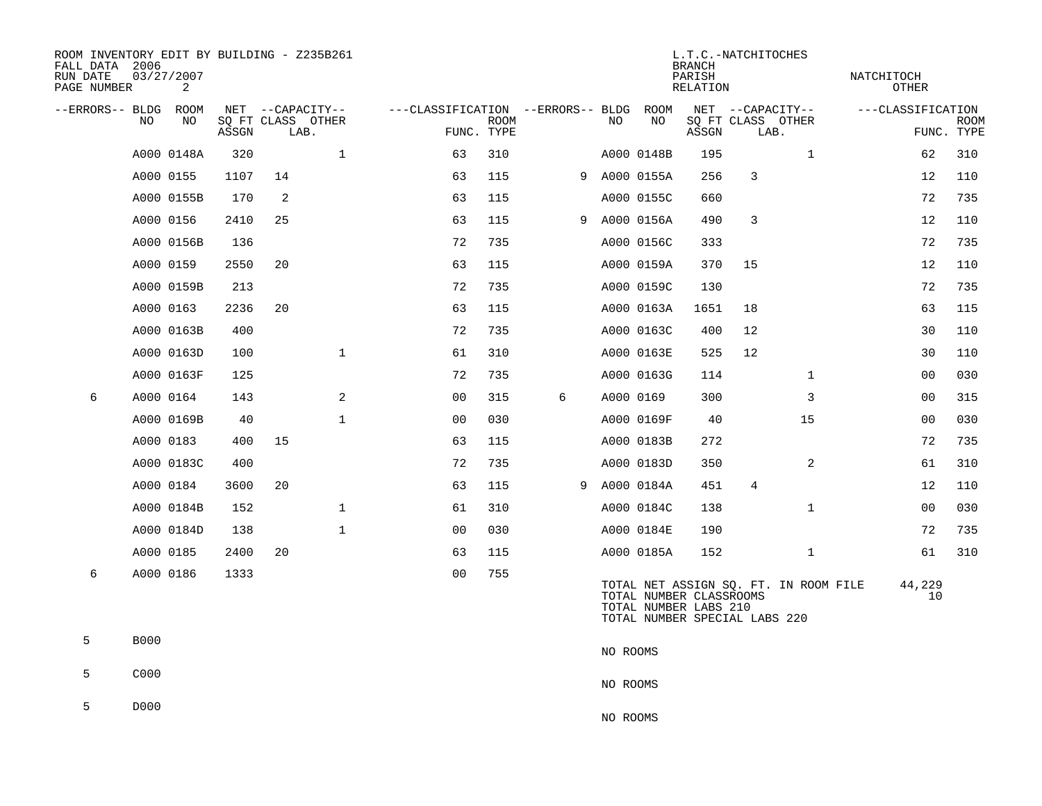| ROOM INVENTORY EDIT BY BUILDING - Z235B261<br>FALL DATA 2006<br>RUN DATE<br>PAGE NUMBER |             | 03/27/2007<br>2 |       |                           |              |                                   |                           |   |          |              | <b>BRANCH</b><br>PARISH<br>RELATION              | L.T.C.-NATCHITOCHES           |                                       | NATCHITOCH<br>OTHER |                           |
|-----------------------------------------------------------------------------------------|-------------|-----------------|-------|---------------------------|--------------|-----------------------------------|---------------------------|---|----------|--------------|--------------------------------------------------|-------------------------------|---------------------------------------|---------------------|---------------------------|
| --ERRORS-- BLDG ROOM                                                                    |             |                 |       | NET --CAPACITY--          |              | ---CLASSIFICATION --ERRORS-- BLDG |                           |   |          | ROOM         |                                                  | NET --CAPACITY--              |                                       | ---CLASSIFICATION   |                           |
|                                                                                         | NO          | NO              | ASSGN | SQ FT CLASS OTHER<br>LAB. |              |                                   | <b>ROOM</b><br>FUNC. TYPE |   | NO       | NO           | ASSGN                                            | SQ FT CLASS OTHER<br>LAB.     |                                       |                     | <b>ROOM</b><br>FUNC. TYPE |
|                                                                                         |             | A000 0148A      | 320   |                           | $\mathbf{1}$ | 63                                | 310                       |   |          | A000 0148B   | 195                                              |                               | $\mathbf{1}$                          | 62                  | 310                       |
|                                                                                         | A000 0155   |                 | 1107  | 14                        |              | 63                                | 115                       |   |          | 9 A000 0155A | 256                                              | 3                             |                                       | 12                  | 110                       |
|                                                                                         |             | A000 0155B      | 170   | 2                         |              | 63                                | 115                       |   |          | A000 0155C   | 660                                              |                               |                                       | 72                  | 735                       |
|                                                                                         | A000 0156   |                 | 2410  | 25                        |              | 63                                | 115                       |   |          | 9 A000 0156A | 490                                              | 3                             |                                       | 12                  | 110                       |
|                                                                                         |             | A000 0156B      | 136   |                           |              | 72                                | 735                       |   |          | A000 0156C   | 333                                              |                               |                                       | 72                  | 735                       |
|                                                                                         | A000 0159   |                 | 2550  | 20                        |              | 63                                | 115                       |   |          | A000 0159A   | 370                                              | 15                            |                                       | 12                  | 110                       |
|                                                                                         |             | A000 0159B      | 213   |                           |              | 72                                | 735                       |   |          | A000 0159C   | 130                                              |                               |                                       | 72                  | 735                       |
|                                                                                         | A000 0163   |                 | 2236  | 20                        |              | 63                                | 115                       |   |          | A000 0163A   | 1651                                             | 18                            |                                       | 63                  | 115                       |
|                                                                                         |             | A000 0163B      | 400   |                           |              | 72                                | 735                       |   |          | A000 0163C   | 400                                              | 12                            |                                       | 30                  | 110                       |
|                                                                                         |             | A000 0163D      | 100   |                           | $\mathbf{1}$ | 61                                | 310                       |   |          | A000 0163E   | 525                                              | 12                            |                                       | 30                  | 110                       |
|                                                                                         |             | A000 0163F      | 125   |                           |              | 72                                | 735                       |   |          | A000 0163G   | 114                                              |                               | $\mathbf{1}$                          | 00                  | 030                       |
| 6                                                                                       |             | A000 0164       | 143   |                           | 2            | 0 <sub>0</sub>                    | 315                       | 6 |          | A000 0169    | 300                                              |                               | 3                                     | 00                  | 315                       |
|                                                                                         |             | A000 0169B      | 40    |                           | $\mathbf{1}$ | 0 <sub>0</sub>                    | 030                       |   |          | A000 0169F   | 40                                               |                               | 15                                    | 0 <sub>0</sub>      | 030                       |
|                                                                                         | A000 0183   |                 | 400   | 15                        |              | 63                                | 115                       |   |          | A000 0183B   | 272                                              |                               |                                       | 72                  | 735                       |
|                                                                                         |             | A000 0183C      | 400   |                           |              | 72                                | 735                       |   |          | A000 0183D   | 350                                              |                               | 2                                     | 61                  | 310                       |
|                                                                                         |             | A000 0184       | 3600  | 20                        |              | 63                                | 115                       |   |          | 9 A000 0184A | 451                                              | $\overline{4}$                |                                       | 12                  | 110                       |
|                                                                                         |             | A000 0184B      | 152   |                           | $\mathbf{1}$ | 61                                | 310                       |   |          | A000 0184C   | 138                                              |                               | $\mathbf{1}$                          | 0 <sub>0</sub>      | 030                       |
|                                                                                         |             | A000 0184D      | 138   |                           | $\mathbf 1$  | 0 <sub>0</sub>                    | 030                       |   |          | A000 0184E   | 190                                              |                               |                                       | 72                  | 735                       |
|                                                                                         | A000 0185   |                 | 2400  | 20                        |              | 63                                | 115                       |   |          | A000 0185A   | 152                                              |                               | $\mathbf{1}$                          | 61                  | 310                       |
| 6                                                                                       | A000 0186   |                 | 1333  |                           |              | 0 <sub>0</sub>                    | 755                       |   |          |              | TOTAL NUMBER CLASSROOMS<br>TOTAL NUMBER LABS 210 | TOTAL NUMBER SPECIAL LABS 220 | TOTAL NET ASSIGN SQ. FT. IN ROOM FILE | 44,229<br>10        |                           |
| 5                                                                                       | <b>B000</b> |                 |       |                           |              |                                   |                           |   | NO ROOMS |              |                                                  |                               |                                       |                     |                           |
| 5                                                                                       | C000        |                 |       |                           |              |                                   |                           |   | NO ROOMS |              |                                                  |                               |                                       |                     |                           |
| 5                                                                                       | D000        |                 |       |                           |              |                                   |                           |   | NO ROOMS |              |                                                  |                               |                                       |                     |                           |